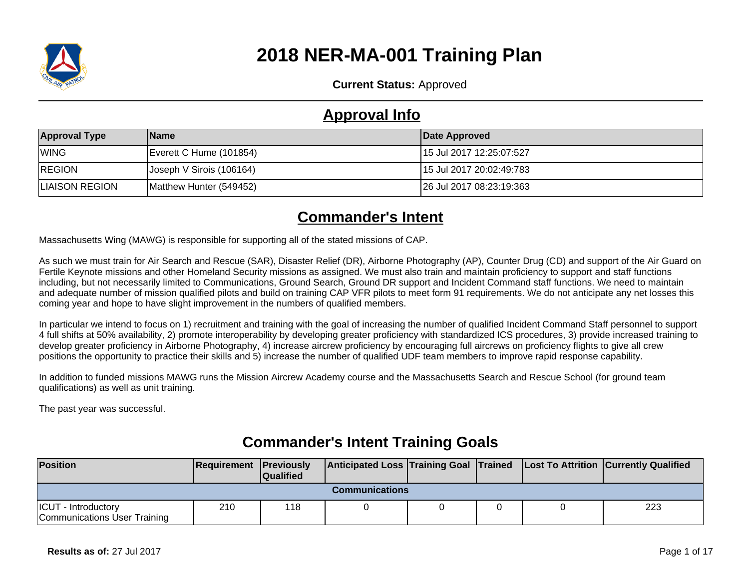

# **2018 NER-MA-001 Training Plan**

**Current Status:** Approved

### **Approval Info**

| <b>Approval Type</b>  | <b>Name</b>              | Date Approved             |
|-----------------------|--------------------------|---------------------------|
| <b>WING</b>           | Everett C Hume (101854)  | 15 Jul 2017 12:25:07:527  |
| <b>REGION</b>         | Joseph V Sirois (106164) | 115 Jul 2017 20:02:49:783 |
| <b>LIAISON REGION</b> | Matthew Hunter (549452)  | 26 Jul 2017 08:23:19:363  |

## **Commander's Intent**

Massachusetts Wing (MAWG) is responsible for supporting all of the stated missions of CAP.

As such we must train for Air Search and Rescue (SAR), Disaster Relief (DR), Airborne Photography (AP), Counter Drug (CD) and support of the Air Guard on Fertile Keynote missions and other Homeland Security missions as assigned. We must also train and maintain proficiency to support and staff functions including, but not necessarily limited to Communications, Ground Search, Ground DR support and Incident Command staff functions. We need to maintain and adequate number of mission qualified pilots and build on training CAP VFR pilots to meet form 91 requirements. We do not anticipate any net losses this coming year and hope to have slight improvement in the numbers of qualified members.

In particular we intend to focus on 1) recruitment and training with the goal of increasing the number of qualified Incident Command Staff personnel to support 4 full shifts at 50% availability, 2) promote interoperability by developing greater proficiency with standardized ICS procedures, 3) provide increased training to develop greater proficiency in Airborne Photography, 4) increase aircrew proficiency by encouraging full aircrews on proficiency flights to give all crew positions the opportunity to practice their skills and 5) increase the number of qualified UDF team members to improve rapid response capability.

In addition to funded missions MAWG runs the Mission Aircrew Academy course and the Massachusetts Search and Rescue School (for ground team qualifications) as well as unit training.

The past year was successful.

| <b>Position</b>                                                                 | <b>Requirement Previously</b> | <b>Qualified</b> |  |  |  |  | Anticipated Loss Training Goal Trained Lost To Attrition Currently Qualified |  |
|---------------------------------------------------------------------------------|-------------------------------|------------------|--|--|--|--|------------------------------------------------------------------------------|--|
| Communications                                                                  |                               |                  |  |  |  |  |                                                                              |  |
| 223<br>210<br><b>ICUT</b> - Introductory<br>118<br>Communications User Training |                               |                  |  |  |  |  |                                                                              |  |

### **Commander's Intent Training Goals**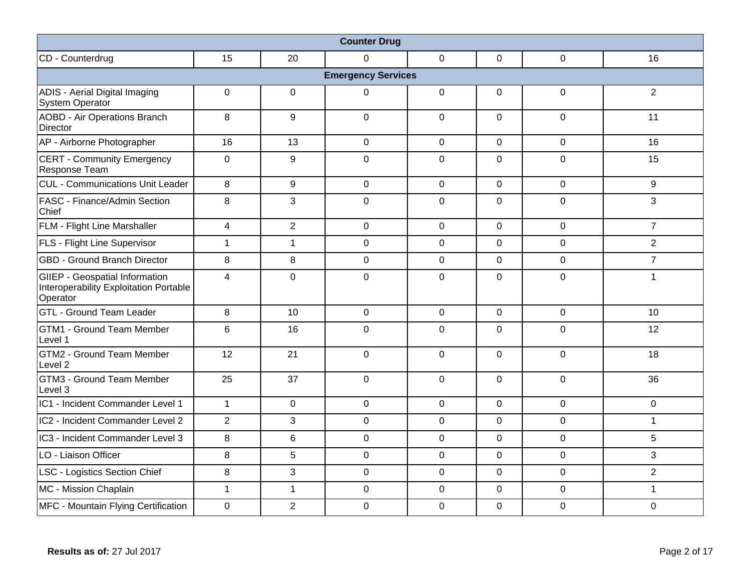| <b>Counter Drug</b>                                                                         |                |                 |                |                |                |                |                 |  |  |  |  |
|---------------------------------------------------------------------------------------------|----------------|-----------------|----------------|----------------|----------------|----------------|-----------------|--|--|--|--|
| CD - Counterdrug                                                                            | 15             | 20              | $\Omega$       | $\mathbf 0$    | 0              | 0              | 16              |  |  |  |  |
| <b>Emergency Services</b>                                                                   |                |                 |                |                |                |                |                 |  |  |  |  |
| ADIS - Aerial Digital Imaging<br>System Operator                                            | 0              | 0               | $\Omega$       | 0              | 0              | $\mathbf 0$    | $\overline{2}$  |  |  |  |  |
| <b>AOBD - Air Operations Branch</b><br><b>Director</b>                                      | $\, 8$         | 9               | $\mathbf{0}$   | $\mathbf 0$    | $\overline{0}$ | $\mathbf 0$    | 11              |  |  |  |  |
| AP - Airborne Photographer                                                                  | 16             | 13              | $\overline{0}$ | $\mathbf 0$    | $\Omega$       | $\overline{0}$ | 16              |  |  |  |  |
| <b>CERT - Community Emergency</b><br>Response Team                                          | $\mathbf 0$    | 9               | $\mathbf 0$    | $\mathbf 0$    | $\Omega$       | $\overline{0}$ | 15              |  |  |  |  |
| CUL - Communications Unit Leader                                                            | 8              | 9               | $\mathbf 0$    | $\mathbf 0$    | $\mathbf 0$    | $\mathbf 0$    | 9               |  |  |  |  |
| <b>FASC - Finance/Admin Section</b><br>Chief                                                | 8              | 3               | $\mathbf 0$    | $\mathbf 0$    | $\mathbf 0$    | $\mathbf 0$    | $\mathbf{3}$    |  |  |  |  |
| <b>FLM - Flight Line Marshaller</b>                                                         | $\overline{4}$ | 2               | $\mathbf 0$    | $\mathbf 0$    | $\mathbf 0$    | $\mathbf 0$    | $\overline{7}$  |  |  |  |  |
| <b>FLS</b> - Flight Line Supervisor                                                         | $\mathbf{1}$   | $\mathbf{1}$    | $\mathbf 0$    | $\mathbf 0$    | $\overline{0}$ | $\mathbf 0$    | $\overline{2}$  |  |  |  |  |
| <b>GBD - Ground Branch Director</b>                                                         | $\, 8$         | 8               | $\mathbf 0$    | $\mathbf 0$    | $\mathbf 0$    | $\mathbf 0$    | $\overline{7}$  |  |  |  |  |
| <b>GIIEP - Geospatial Information</b><br>Interoperability Exploitation Portable<br>Operator | $\overline{4}$ | $\Omega$        | $\Omega$       | $\Omega$       | $\Omega$       | $\Omega$       | $\mathbf{1}$    |  |  |  |  |
| <b>GTL - Ground Team Leader</b>                                                             | 8              | 10              | $\mathbf 0$    | $\mathbf 0$    | $\mathbf 0$    | $\mathbf 0$    | 10 <sup>1</sup> |  |  |  |  |
| <b>GTM1 - Ground Team Member</b><br>Level 1                                                 | $6\phantom{1}$ | 16              | $\overline{0}$ | $\mathbf 0$    | $\overline{0}$ | $\mathbf 0$    | 12              |  |  |  |  |
| GTM2 - Ground Team Member<br>Level 2                                                        | 12             | 21              | $\mathbf{0}$   | $\mathbf 0$    | $\mathbf 0$    | $\mathbf 0$    | 18              |  |  |  |  |
| GTM3 - Ground Team Member<br>Level 3                                                        | 25             | 37              | $\overline{0}$ | $\mathbf 0$    | $\Omega$       | $\mathbf 0$    | 36              |  |  |  |  |
| IC1 - Incident Commander Level 1                                                            | $\mathbf{1}$   | $\mathbf 0$     | $\mathbf 0$    | $\mathbf 0$    | $\overline{0}$ | $\mathbf 0$    | $\mathbf 0$     |  |  |  |  |
| IC2 - Incident Commander Level 2                                                            | $\overline{2}$ | 3               | $\overline{0}$ | $\mathbf 0$    | $\overline{0}$ | $\mathbf 0$    | $\mathbf{1}$    |  |  |  |  |
| IC3 - Incident Commander Level 3                                                            | 8              | $6\phantom{1}$  | $\mathbf 0$    | $\overline{0}$ | $\mathbf 0$    | $\mathbf 0$    | 5               |  |  |  |  |
| LO - Liaison Officer                                                                        | $\, 8$         | $5\phantom{.0}$ | $\mathbf 0$    | $\mathbf 0$    | $\Omega$       | $\mathbf 0$    | 3               |  |  |  |  |
| LSC - Logistics Section Chief                                                               | 8              | 3               | $\mathbf 0$    | $\mathbf 0$    | $\mathbf 0$    | $\mathbf 0$    | $\overline{2}$  |  |  |  |  |
| MC - Mission Chaplain                                                                       | $\mathbf{1}$   | $\mathbf{1}$    | $\mathbf 0$    | $\mathbf 0$    | $\mathbf 0$    | $\mathbf 0$    | $\mathbf{1}$    |  |  |  |  |
| MFC - Mountain Flying Certification                                                         | $\mathbf 0$    | $\overline{2}$  | $\mathbf 0$    | $\mathbf 0$    | $\mathbf 0$    | $\mathbf 0$    | $\mathbf 0$     |  |  |  |  |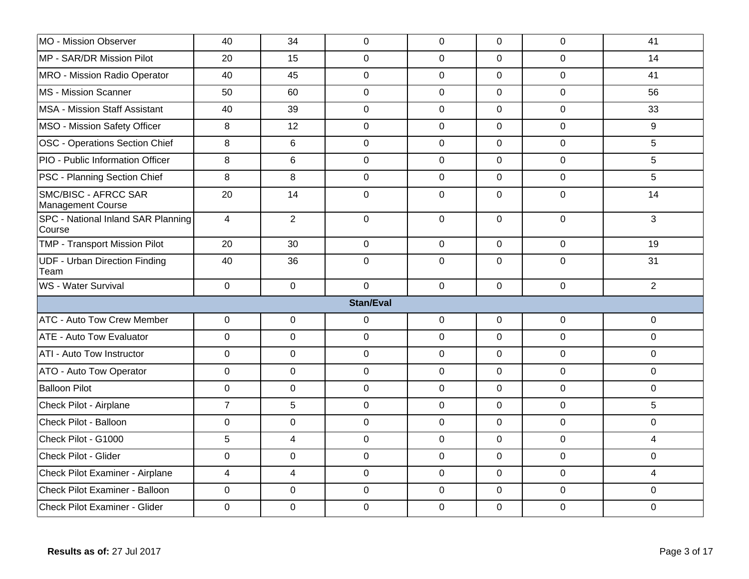| MO - Mission Observer                        | 40               | 34               | $\mathbf 0$      | $\mathbf 0$    | $\mathbf 0$    | $\mathbf 0$    | 41             |
|----------------------------------------------|------------------|------------------|------------------|----------------|----------------|----------------|----------------|
| MP - SAR/DR Mission Pilot                    | 20               | 15               | $\overline{0}$   | $\mathbf 0$    | $\mathbf 0$    | $\overline{0}$ | 14             |
| MRO - Mission Radio Operator                 | 40               | 45               | $\pmb{0}$        | $\mathbf 0$    | $\Omega$       | $\mathbf 0$    | 41             |
| MS - Mission Scanner                         | 50               | 60               | $\mathbf 0$      | $\mathbf 0$    | $\mathbf 0$    | $\mathbf 0$    | 56             |
| <b>MSA - Mission Staff Assistant</b>         | 40               | 39               | $\mathbf 0$      | $\mathbf 0$    | $\mathbf 0$    | $\mathbf 0$    | 33             |
| MSO - Mission Safety Officer                 | 8                | 12               | $\mathbf 0$      | $\mathbf 0$    | $\mathbf 0$    | $\mathbf 0$    | 9              |
| OSC - Operations Section Chief               | 8                | $6\phantom{1}$   | $\mathbf 0$      | $\mathbf 0$    | $\mathbf 0$    | $\mathbf 0$    | 5              |
| PIO - Public Information Officer             | 8                | 6                | $\mathbf 0$      | $\overline{0}$ | $\mathbf 0$    | $\mathbf 0$    | 5              |
| <b>PSC - Planning Section Chief</b>          | 8                | 8                | $\mathbf 0$      | $\mathbf 0$    | $\mathbf 0$    | $\mathbf 0$    | 5              |
| SMC/BISC - AFRCC SAR<br>Management Course    | 20               | 14               | $\pmb{0}$        | $\overline{0}$ | $\Omega$       | $\overline{0}$ | 14             |
| SPC - National Inland SAR Planning<br>Course | $\overline{4}$   | 2                | $\mathbf 0$      | $\mathbf 0$    | $\Omega$       | $\Omega$       | 3              |
| <b>TMP - Transport Mission Pilot</b>         | 20               | 30               | $\mathbf 0$      | $\mathbf 0$    | $\overline{0}$ | $\mathbf 0$    | 19             |
| <b>UDF - Urban Direction Finding</b><br>Team | 40               | 36               | $\mathbf 0$      | $\mathbf 0$    | $\mathbf 0$    | $\mathbf 0$    | 31             |
| WS - Water Survival                          | $\mathbf 0$      | $\mathbf 0$      | $\overline{0}$   | $\overline{0}$ | $\overline{0}$ | $\overline{0}$ | $\overline{2}$ |
|                                              |                  |                  | <b>Stan/Eval</b> |                |                |                |                |
| ATC - Auto Tow Crew Member                   | 0                | $\boldsymbol{0}$ | $\pmb{0}$        | $\mathbf 0$    | $\mathbf 0$    | $\mathbf 0$    | $\mathbf 0$    |
| <b>ATE - Auto Tow Evaluator</b>              | $\overline{0}$   | $\mathbf 0$      | $\mathbf 0$      | $\mathbf 0$    | $\mathbf 0$    | $\mathbf 0$    | $\mathbf 0$    |
| ATI - Auto Tow Instructor                    | $\mathbf 0$      | $\mathbf 0$      | $\pmb{0}$        | $\mathbf 0$    | $\overline{0}$ | $\mathbf 0$    | $\mathbf 0$    |
| ATO - Auto Tow Operator                      | $\mathbf 0$      | $\mathbf 0$      | $\mathbf 0$      | $\mathbf 0$    | $\mathbf 0$    | $\mathbf 0$    | $\mathbf 0$    |
| <b>Balloon Pilot</b>                         | 0                | $\mathbf 0$      | $\mathbf 0$      | $\mathbf 0$    | $\mathbf 0$    | $\overline{0}$ | $\mathbf 0$    |
| Check Pilot - Airplane                       | $\overline{7}$   | $\sqrt{5}$       | $\pmb{0}$        | $\mathbf 0$    | $\overline{0}$ | $\mathbf 0$    | 5              |
| Check Pilot - Balloon                        | 0                | $\pmb{0}$        | $\pmb{0}$        | $\mathbf 0$    | $\Omega$       | $\mathbf 0$    | $\mathbf 0$    |
| Check Pilot - G1000                          | 5                | $\overline{4}$   | $\mathbf 0$      | $\mathbf 0$    | $\mathbf 0$    | $\mathbf 0$    | $\overline{4}$ |
| Check Pilot - Glider                         | $\boldsymbol{0}$ | $\mathbf 0$      | $\pmb{0}$        | $\mathbf 0$    | $\mathbf{0}$   | $\mathbf 0$    | $\mathbf 0$    |
| Check Pilot Examiner - Airplane              | $\overline{4}$   | $\overline{4}$   | $\mathbf 0$      | $\overline{0}$ | $\overline{0}$ | $\mathbf 0$    | $\overline{4}$ |
| Check Pilot Examiner - Balloon               | $\boldsymbol{0}$ | $\pmb{0}$        | $\pmb{0}$        | $\mathbf 0$    | $\mathbf 0$    | $\mathbf 0$    | $\mathbf 0$    |
| Check Pilot Examiner - Glider                | 0                | $\mathbf 0$      | $\mathbf 0$      | $\mathbf 0$    | $\overline{0}$ | $\mathbf 0$    | $\mathbf 0$    |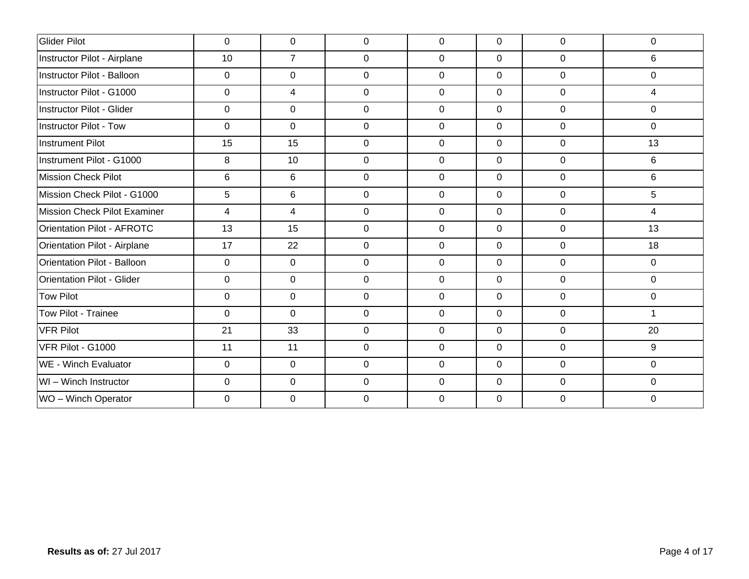| Glider Pilot                       | $\pmb{0}$    | $\mathbf 0$    | $\mathbf 0$  | $\mathbf 0$    | $\overline{0}$ | $\mathbf 0$    | $\mathbf 0$    |
|------------------------------------|--------------|----------------|--------------|----------------|----------------|----------------|----------------|
| Instructor Pilot - Airplane        | 10           | $\overline{7}$ | $\mathbf{0}$ | $\mathbf 0$    | $\mathbf 0$    | $\mathbf 0$    | 6              |
| Instructor Pilot - Balloon         | 0            | 0              | 0            | 0              | $\overline{0}$ | $\mathbf 0$    | 0              |
| Instructor Pilot - G1000           | $\mathbf{0}$ | $\overline{4}$ | $\mathbf 0$  | $\overline{0}$ | $\overline{0}$ | $\mathbf 0$    | $\overline{4}$ |
| Instructor Pilot - Glider          | $\Omega$     | $\mathbf 0$    | $\mathbf 0$  | $\Omega$       | $\Omega$       | $\mathbf 0$    | $\Omega$       |
| <b>Instructor Pilot - Tow</b>      | $\Omega$     | $\Omega$       | $\mathbf 0$  | $\Omega$       | $\Omega$       | $\overline{0}$ | $\Omega$       |
| <b>Instrument Pilot</b>            | 15           | 15             | 0            | 0              | $\overline{0}$ | 0              | 13             |
| Instrument Pilot - G1000           | 8            | 10             | $\mathbf 0$  | $\mathbf 0$    | $\overline{0}$ | $\mathbf 0$    | 6              |
| <b>Mission Check Pilot</b>         | 6            | 6              | $\mathbf 0$  | $\mathbf 0$    | $\mathbf{0}$   | $\mathbf 0$    | 6              |
| Mission Check Pilot - G1000        | 5            | $6\phantom{1}$ | $\mathbf 0$  | $\mathbf 0$    | $\overline{0}$ | $\mathbf 0$    | 5              |
| Mission Check Pilot Examiner       | 4            | $\overline{4}$ | $\mathbf 0$  | $\mathbf 0$    | $\overline{0}$ | $\mathbf 0$    | 4              |
| <b>Orientation Pilot - AFROTC</b>  | 13           | 15             | $\mathbf 0$  | $\Omega$       | $\overline{0}$ | $\mathbf 0$    | 13             |
| Orientation Pilot - Airplane       | 17           | 22             | $\mathbf 0$  | $\mathbf 0$    | $\overline{0}$ | $\mathbf 0$    | 18             |
| <b>Orientation Pilot - Balloon</b> | 0            | $\overline{0}$ | $\mathbf 0$  | $\mathbf 0$    | $\overline{0}$ | $\mathbf 0$    | $\mathbf 0$    |
| <b>Orientation Pilot - Glider</b>  | $\Omega$     | $\mathbf 0$    | $\mathbf 0$  | 0              | $\overline{0}$ | $\mathbf 0$    | $\mathbf 0$    |
| <b>Tow Pilot</b>                   | 0            | $\mathbf 0$    | 0            | $\mathbf 0$    | $\overline{0}$ | $\mathbf 0$    | 0              |
| Tow Pilot - Trainee                | $\mathbf 0$  | $\mathbf 0$    | $\mathsf 0$  | $\mathbf 0$    | $\mathbf 0$    | $\mathbf 0$    | $\mathbf{1}$   |
| <b>VFR Pilot</b>                   | 21           | 33             | $\mathbf 0$  | 0              | $\overline{0}$ | $\mathbf 0$    | 20             |
| VFR Pilot - G1000                  | 11           | 11             | $\mathbf 0$  | $\mathbf 0$    | $\mathbf 0$    | $\overline{0}$ | 9              |
| WE - Winch Evaluator               | 0            | $\overline{0}$ | 0            | $\mathbf 0$    | $\overline{0}$ | $\mathbf 0$    | 0              |
| WI - Winch Instructor              | $\mathbf 0$  | $\overline{0}$ | $\mathbf 0$  | $\mathbf 0$    | $\overline{0}$ | $\mathbf 0$    | $\mathbf 0$    |
| WO - Winch Operator                | $\Omega$     | 0              | $\Omega$     | 0              | $\Omega$       | $\Omega$       | 0              |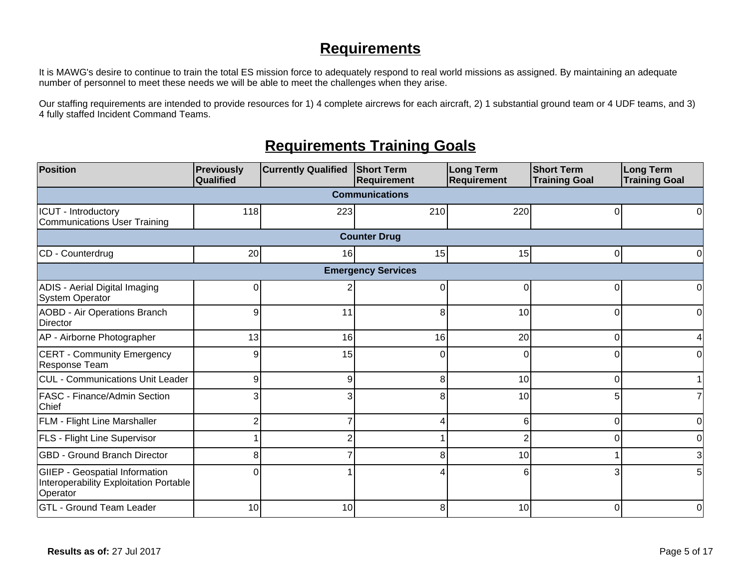## **Requirements**

It is MAWG's desire to continue to train the total ES mission force to adequately respond to real world missions as assigned. By maintaining an adequate number of personnel to meet these needs we will be able to meet the challenges when they arise.

Our staffing requirements are intended to provide resources for 1) 4 complete aircrews for each aircraft, 2) 1 substantial ground team or 4 UDF teams, and 3) 4 fully staffed Incident Command Teams.

## **Requirements Training Goals**

| Position                                                                                    | <b>Previously</b><br>Qualified | <b>Currently Qualified</b> | <b>Short Term</b><br>Requirement | Long Term<br><b>Requirement</b> | <b>Short Term</b><br><b>Training Goal</b> | <b>Long Term</b><br><b>Training Goal</b> |  |  |  |  |  |
|---------------------------------------------------------------------------------------------|--------------------------------|----------------------------|----------------------------------|---------------------------------|-------------------------------------------|------------------------------------------|--|--|--|--|--|
| <b>Communications</b>                                                                       |                                |                            |                                  |                                 |                                           |                                          |  |  |  |  |  |
| ICUT - Introductory<br>Communications User Training                                         | 118                            | 223                        | 210                              | 220                             | U                                         |                                          |  |  |  |  |  |
|                                                                                             |                                |                            | <b>Counter Drug</b>              |                                 |                                           |                                          |  |  |  |  |  |
| CD - Counterdrug                                                                            | 20                             | 16                         | 15                               | 15                              |                                           |                                          |  |  |  |  |  |
|                                                                                             |                                |                            | <b>Emergency Services</b>        |                                 |                                           |                                          |  |  |  |  |  |
| ADIS - Aerial Digital Imaging<br><b>System Operator</b>                                     | 0                              |                            | $\Omega$                         | $\Omega$                        |                                           | U                                        |  |  |  |  |  |
| <b>AOBD - Air Operations Branch</b><br>Director                                             | 9                              | 11                         | 8                                | 10                              |                                           | 0                                        |  |  |  |  |  |
| AP - Airborne Photographer                                                                  | 13                             | 16                         | 16                               | 20                              |                                           |                                          |  |  |  |  |  |
| <b>CERT - Community Emergency</b><br>Response Team                                          | 9                              | 15                         | U                                | $\Omega$                        |                                           |                                          |  |  |  |  |  |
| CUL - Communications Unit Leader                                                            | 9                              | 9                          | 8                                | 10                              | $\Omega$                                  |                                          |  |  |  |  |  |
| <b>FASC - Finance/Admin Section</b><br>Chief                                                | 3                              |                            | 8                                | 10                              |                                           |                                          |  |  |  |  |  |
| <b>FLM - Flight Line Marshaller</b>                                                         | $\overline{2}$                 |                            |                                  | 6                               | O                                         |                                          |  |  |  |  |  |
| <b>FLS</b> - Flight Line Supervisor                                                         |                                |                            |                                  | 2                               |                                           |                                          |  |  |  |  |  |
| <b>GBD - Ground Branch Director</b>                                                         | 8                              |                            | 8                                | 10                              |                                           | 3                                        |  |  |  |  |  |
| <b>GIIEP</b> - Geospatial Information<br>Interoperability Exploitation Portable<br>Operator | ი                              |                            |                                  | 6                               |                                           |                                          |  |  |  |  |  |
| <b>GTL - Ground Team Leader</b>                                                             | 10                             | 10                         | 8                                | 10                              |                                           | $\Omega$                                 |  |  |  |  |  |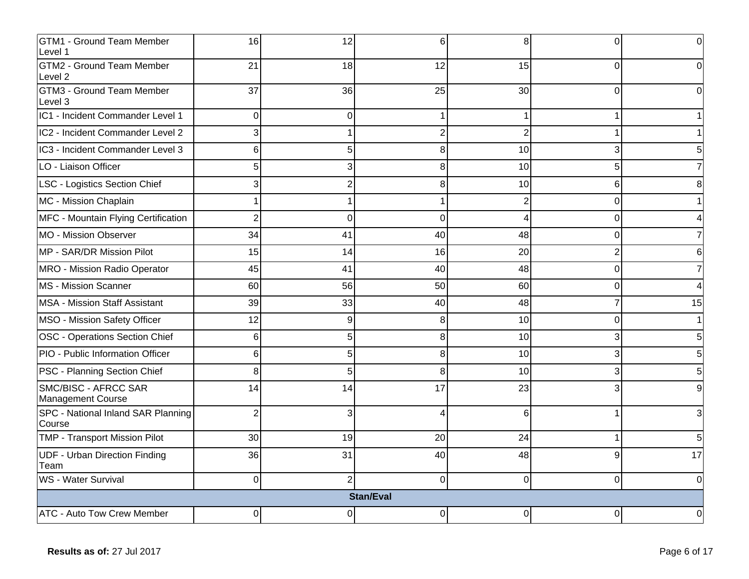| <b>GTM1 - Ground Team Member</b><br>Level 1  | 16             | 12             | 6                | 8                     |          | 0        |
|----------------------------------------------|----------------|----------------|------------------|-----------------------|----------|----------|
| <b>GTM2 - Ground Team Member</b><br>Level 2  | 21             | 18             | 12               | 15                    |          |          |
| <b>GTM3 - Ground Team Member</b><br>Level 3  | 37             | 36             | 25               | 30                    | ∩        |          |
| IC1 - Incident Commander Level 1             | 0              | 0              |                  |                       |          |          |
| IC2 - Incident Commander Level 2             | 3              |                |                  | $\overline{2}$        |          |          |
| IC3 - Incident Commander Level 3             | 6              | 5              |                  | 10                    |          |          |
| LO - Liaison Officer                         | 5              | 3              | 8                | 10                    |          |          |
| LSC - Logistics Section Chief                | $\overline{3}$ | $\overline{2}$ | 8                | 10                    | 6        |          |
| MC - Mission Chaplain                        | 1              |                |                  | 2                     | ∩        |          |
| MFC - Mountain Flying Certification          | $\overline{2}$ | 0              | $\Omega$         | $\boldsymbol{\Delta}$ | O        |          |
| MO - Mission Observer                        | 34             | 41             | 40               | 48                    |          |          |
| MP - SAR/DR Mission Pilot                    | 15             | 14             | 16               | 20                    |          |          |
| MRO - Mission Radio Operator                 | 45             | 41             | 40               | 48                    | 0        |          |
| MS - Mission Scanner                         | 60             | 56             | 50               | 60                    | ∩        |          |
| <b>MSA - Mission Staff Assistant</b>         | 39             | 33             | 40               | 48                    |          | 15       |
| MSO - Mission Safety Officer                 | 12             | 9              | 8                | 10                    |          |          |
| OSC - Operations Section Chief               | 6              | 5              | 8                | 10                    |          |          |
| PIO - Public Information Officer             | 6              | 5              | 8                | 10                    |          |          |
| <b>PSC - Planning Section Chief</b>          | 8              | 5              | 8                | 10                    |          |          |
| SMC/BISC - AFRCC SAR<br>Management Course    | 14             | 14             | 17               | 23                    |          |          |
| SPC - National Inland SAR Planning<br>Course | $\overline{2}$ | 3              |                  | 6                     |          |          |
| TMP - Transport Mission Pilot                | 30             | 19             | 20               | 24                    |          |          |
| <b>UDF - Urban Direction Finding</b><br>Team | 36             | 31             | 40               | 48                    |          | 17       |
| WS - Water Survival                          | $\overline{0}$ | 2              | $\Omega$         | $\mathbf 0$           | $\Omega$ | $\Omega$ |
|                                              |                |                | <b>Stan/Eval</b> |                       |          |          |
| <b>ATC - Auto Tow Crew Member</b>            | 0              | 0              | 0                | 0                     |          | U        |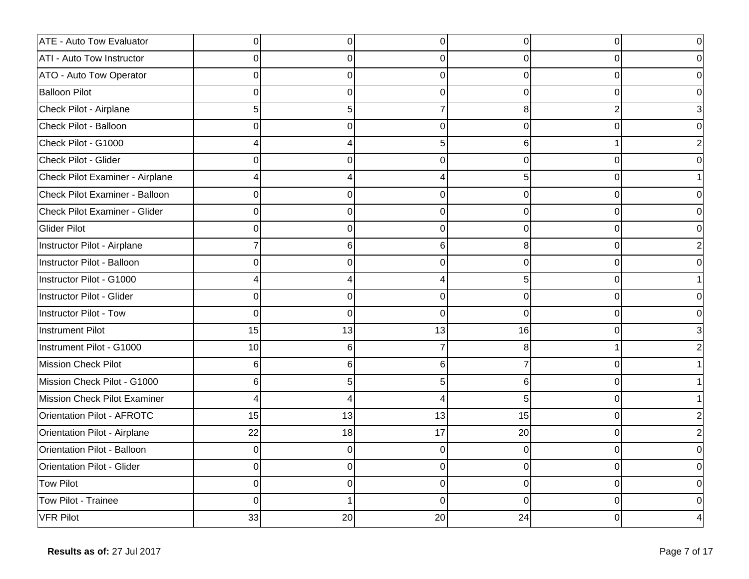| <b>ATE - Auto Tow Evaluator</b>   | 0              | $\Omega$ | 0        | $\Omega$ | $\Omega$ |  |
|-----------------------------------|----------------|----------|----------|----------|----------|--|
| <b>ATI - Auto Tow Instructor</b>  | 0              | 0        |          | $\Omega$ |          |  |
| <b>ATO - Auto Tow Operator</b>    | $\Omega$       | 0        | O        | $\Omega$ | U        |  |
| <b>Balloon Pilot</b>              | $\Omega$       | 0        | 0        | $\Omega$ | 0        |  |
| Check Pilot - Airplane            | 5              | 5        |          | 8        |          |  |
| Check Pilot - Balloon             | $\Omega$       | 0        | $\Omega$ | $\Omega$ | O        |  |
| Check Pilot - G1000               | 4              |          | 5        | 6        |          |  |
| Check Pilot - Glider              | $\Omega$       | ი        |          | $\Omega$ | U        |  |
| Check Pilot Examiner - Airplane   | 4              |          |          | 5        | ∩        |  |
| Check Pilot Examiner - Balloon    | $\Omega$       | 0        | O        | $\Omega$ | ∩        |  |
| Check Pilot Examiner - Glider     | 0              | 0        | $\Omega$ | $\Omega$ | 0        |  |
| Glider Pilot                      | $\Omega$       | 0        | 0        | 0        | 0        |  |
| Instructor Pilot - Airplane       | 7              | 6        | 6        | 8        | 0        |  |
| Instructor Pilot - Balloon        | $\Omega$       | U        | ∩        | $\Omega$ | ∩        |  |
| Instructor Pilot - G1000          | 4              |          |          | 5        | ∩        |  |
| Instructor Pilot - Glider         | $\overline{0}$ | 0        | 0        | $\Omega$ |          |  |
| Instructor Pilot - Tow            | $\overline{0}$ | 0        | 0        | $\Omega$ | 0        |  |
| Instrument Pilot                  | 15             | 13       | 13       | 16       | O        |  |
| Instrument Pilot - G1000          | 10             | 6        |          | 8        |          |  |
| Mission Check Pilot               | 6              | 6        | 6        |          | 0        |  |
| Mission Check Pilot - G1000       | 6              | 5        |          | 6        | ∩        |  |
| Mission Check Pilot Examiner      | 4              | Δ        |          | 5        |          |  |
| Orientation Pilot - AFROTC        | 15             | 13       | 13       | 15       | 0        |  |
| Orientation Pilot - Airplane      | 22             | 18       | 17       | 20       | 0        |  |
| Orientation Pilot - Balloon       | 0              | 0        | $\Omega$ | $\Omega$ | U        |  |
| <b>Orientation Pilot - Glider</b> | $\Omega$       | 0        | 0        | $\Omega$ | O        |  |
| Tow Pilot                         | $\Omega$       | 0        | O        | $\Omega$ | ∩        |  |
| Tow Pilot - Trainee               | $\Omega$       |          | 0        | $\Omega$ | U        |  |
| VFR Pilot                         | 33             | 20       | 20       | 24       |          |  |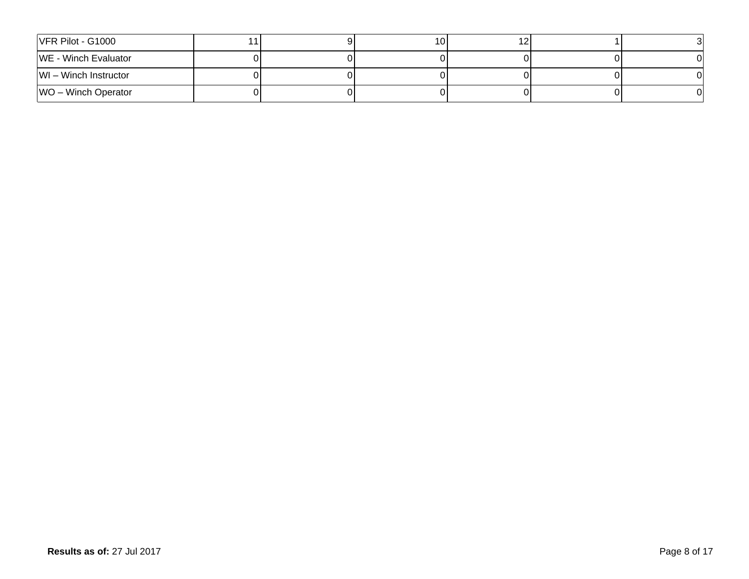| $VFR$ Pilot - G1000      |  | 10I |  |  |
|--------------------------|--|-----|--|--|
| WE - Winch Evaluator     |  |     |  |  |
| $ W $ – Winch Instructor |  |     |  |  |
| $ WO -$ Winch Operator   |  |     |  |  |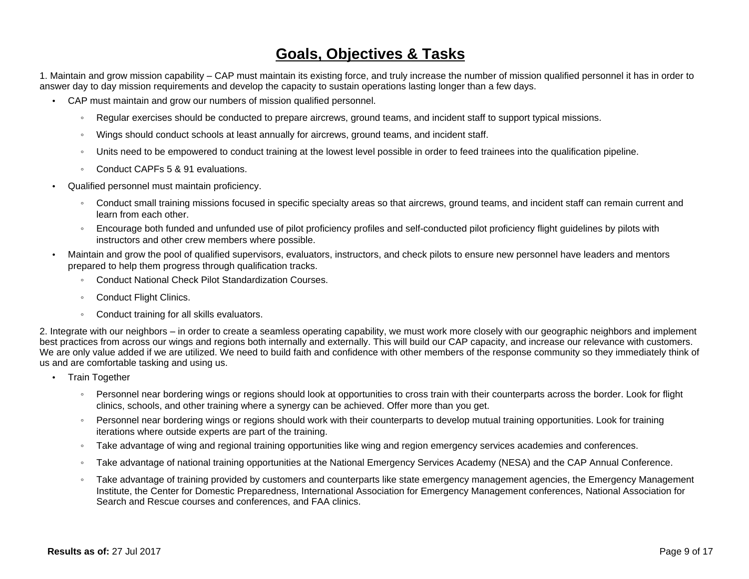### **Goals, Objectives & Tasks**

1. Maintain and grow mission capability – CAP must maintain its existing force, and truly increase the number of mission qualified personnel it has in order to answer day to day mission requirements and develop the capacity to sustain operations lasting longer than a few days.

- CAP must maintain and grow our numbers of mission qualified personnel.
	- ƕ Regular exercises should be conducted to prepare aircrews, ground teams, and incident staff to support typical missions.
	- ƕ Wings should conduct schools at least annually for aircrews, ground teams, and incident staff.
	- Units need to be empowered to conduct training at the lowest level possible in order to feed trainees into the qualification pipeline.
	- Conduct CAPFs 5 & 91 evaluations.
- Qualified personnel must maintain proficiency.
	- Conduct small training missions focused in specific specialty areas so that aircrews, ground teams, and incident staff can remain current and learn from each other.
	- ƕ Encourage both funded and unfunded use of pilot proficiency profiles and self-conducted pilot proficiency flight guidelines by pilots with instructors and other crew members where possible.
- Maintain and grow the pool of qualified supervisors, evaluators, instructors, and check pilots to ensure new personnel have leaders and mentors prepared to help them progress through qualification tracks.
	- ƕ Conduct National Check Pilot Standardization Courses.
	- Conduct Flight Clinics.
	- Conduct training for all skills evaluators.

2. Integrate with our neighbors – in order to create a seamless operating capability, we must work more closely with our geographic neighbors and implement best practices from across our wings and regions both internally and externally. This will build our CAP capacity, and increase our relevance with customers. We are only value added if we are utilized. We need to build faith and confidence with other members of the response community so they immediately think of us and are comfortable tasking and using us.

- Train Together
	- Personnel near bordering wings or regions should look at opportunities to cross train with their counterparts across the border. Look for flight clinics, schools, and other training where a synergy can be achieved. Offer more than you get.
	- Personnel near bordering wings or regions should work with their counterparts to develop mutual training opportunities. Look for training iterations where outside experts are part of the training.
	- Take advantage of wing and regional training opportunities like wing and region emergency services academies and conferences.
	- Take advantage of national training opportunities at the National Emergency Services Academy (NESA) and the CAP Annual Conference.
	- Take advantage of training provided by customers and counterparts like state emergency management agencies, the Emergency Management Institute, the Center for Domestic Preparedness, International Association for Emergency Management conferences, National Association for Search and Rescue courses and conferences, and FAA clinics.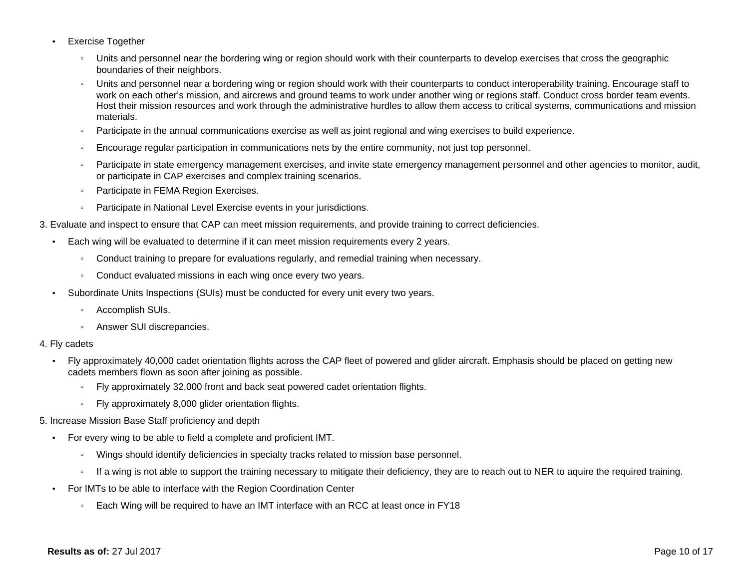- Exercise Together
	- Units and personnel near the bordering wing or region should work with their counterparts to develop exercises that cross the geographic boundaries of their neighbors.
	- Units and personnel near a bordering wing or region should work with their counterparts to conduct interoperability training. Encourage staff to work on each other's mission, and aircrews and ground teams to work under another wing or regions staff. Conduct cross border team events. Host their mission resources and work through the administrative hurdles to allow them access to critical systems, communications and mission materials.
	- Participate in the annual communications exercise as well as joint regional and wing exercises to build experience.
	- Encourage regular participation in communications nets by the entire community, not just top personnel.
	- Participate in state emergency management exercises, and invite state emergency management personnel and other agencies to monitor, audit, or participate in CAP exercises and complex training scenarios.
	- Participate in FEMA Region Exercises.
	- Participate in National Level Exercise events in your jurisdictions.
- 3. Evaluate and inspect to ensure that CAP can meet mission requirements, and provide training to correct deficiencies.
	- Each wing will be evaluated to determine if it can meet mission requirements every 2 years.
		- Conduct training to prepare for evaluations regularly, and remedial training when necessary.
		- Conduct evaluated missions in each wing once every two years.
	- Subordinate Units Inspections (SUIs) must be conducted for every unit every two years.
		- ƕ Accomplish SUIs.
		- ƕ Answer SUI discrepancies.

#### 4. Fly cadets

- Fly approximately 40,000 cadet orientation flights across the CAP fleet of powered and glider aircraft. Emphasis should be placed on getting new cadets members flown as soon after joining as possible.
	- ƕ Fly approximately 32,000 front and back seat powered cadet orientation flights.
	- Fly approximately 8,000 glider orientation flights.

#### 5. Increase Mission Base Staff proficiency and depth

- For every wing to be able to field a complete and proficient IMT.
	- ƕ Wings should identify deficiencies in specialty tracks related to mission base personnel.
	- If a wing is not able to support the training necessary to mitigate their deficiency, they are to reach out to NER to aguire the required training.
- For IMTs to be able to interface with the Region Coordination Center
	- Each Wing will be required to have an IMT interface with an RCC at least once in FY18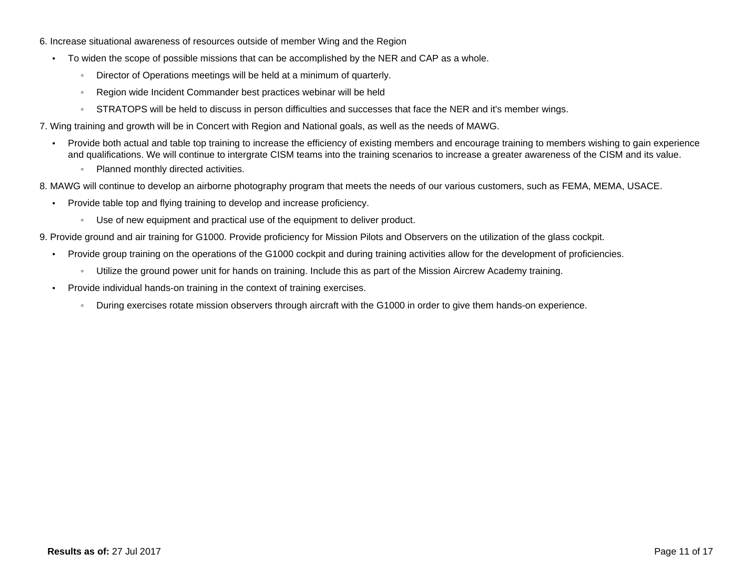- 6. Increase situational awareness of resources outside of member Wing and the Region
	- To widen the scope of possible missions that can be accomplished by the NER and CAP as a whole.
		- Director of Operations meetings will be held at a minimum of quarterly.
		- Region wide Incident Commander best practices webinar will be held
		- STRATOPS will be held to discuss in person difficulties and successes that face the NER and it's member wings.
- 7. Wing training and growth will be in Concert with Region and National goals, as well as the needs of MAWG.
	- Provide both actual and table top training to increase the efficiency of existing members and encourage training to members wishing to gain experience and qualifications. We will continue to intergrate CISM teams into the training scenarios to increase a greater awareness of the CISM and its value.
		- Planned monthly directed activities.
- 8. MAWG will continue to develop an airborne photography program that meets the needs of our various customers, such as FEMA, MEMA, USACE.
	- Provide table top and flying training to develop and increase proficiency.
		- ƕ Use of new equipment and practical use of the equipment to deliver product.
- 9. Provide ground and air training for G1000. Provide proficiency for Mission Pilots and Observers on the utilization of the glass cockpit.
	- Provide group training on the operations of the G1000 cockpit and during training activities allow for the development of proficiencies.
		- ƕ Utilize the ground power unit for hands on training. Include this as part of the Mission Aircrew Academy training.
	- Provide individual hands-on training in the context of training exercises.
		- During exercises rotate mission observers through aircraft with the G1000 in order to give them hands-on experience.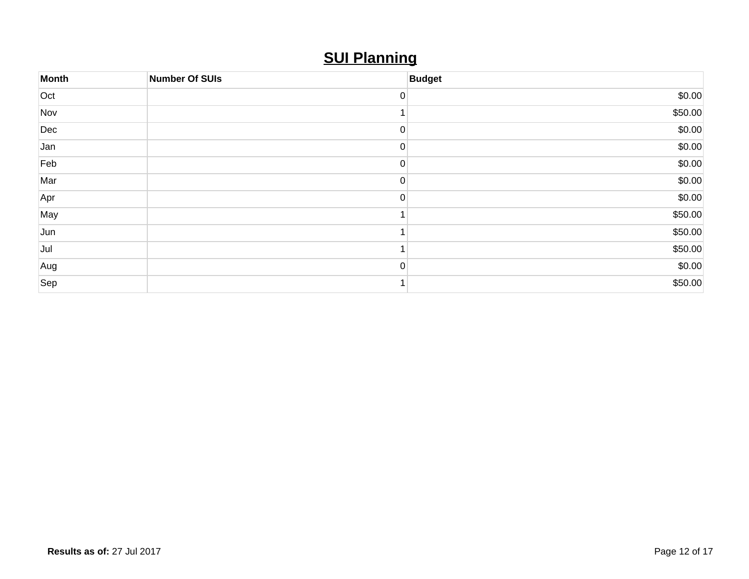## **SUI Planning**

| <b>Month</b> | <b>Number Of SUIs</b> | <b>Budget</b> |
|--------------|-----------------------|---------------|
| Oct          |                       | \$0.00        |
| Nov          |                       | \$50.00       |
| Dec          |                       | \$0.00        |
| Jan          |                       | \$0.00        |
| Feb          |                       | \$0.00        |
| Mar          | 0                     | \$0.00        |
| Apr          |                       | \$0.00        |
| May          |                       | \$50.00       |
| Jun          |                       | \$50.00       |
| Jul          |                       | \$50.00       |
| Aug          |                       | \$0.00        |
| Sep          |                       | \$50.00       |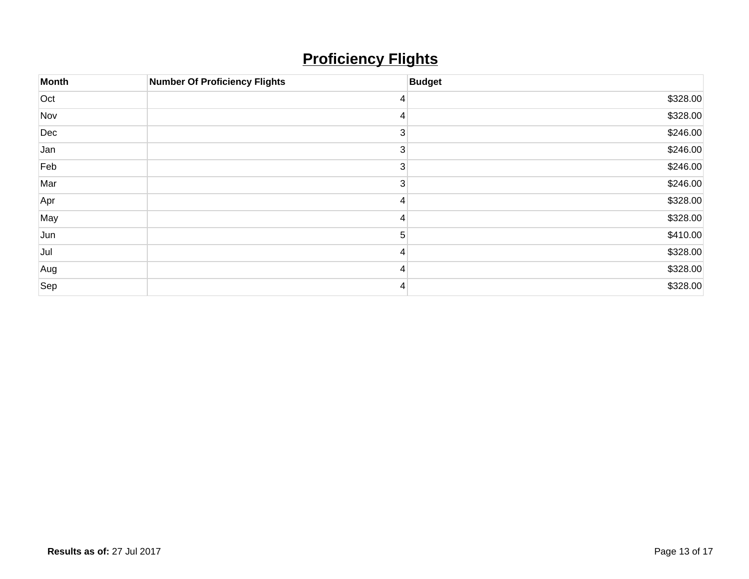## **Proficiency Flights**

| Month | <b>Number Of Proficiency Flights</b> | <b>Budget</b> |
|-------|--------------------------------------|---------------|
| Oct   |                                      | \$328.00      |
| Nov   |                                      | \$328.00      |
| Dec   | 3                                    | \$246.00      |
| Jan   |                                      | \$246.00      |
| Feb   | 3                                    | \$246.00      |
| Mar   | 3                                    | \$246.00      |
| Apr   |                                      | \$328.00      |
| May   |                                      | \$328.00      |
| Jun   | 5                                    | \$410.00      |
| Jul   |                                      | \$328.00      |
| Aug   |                                      | \$328.00      |
| Sep   |                                      | \$328.00      |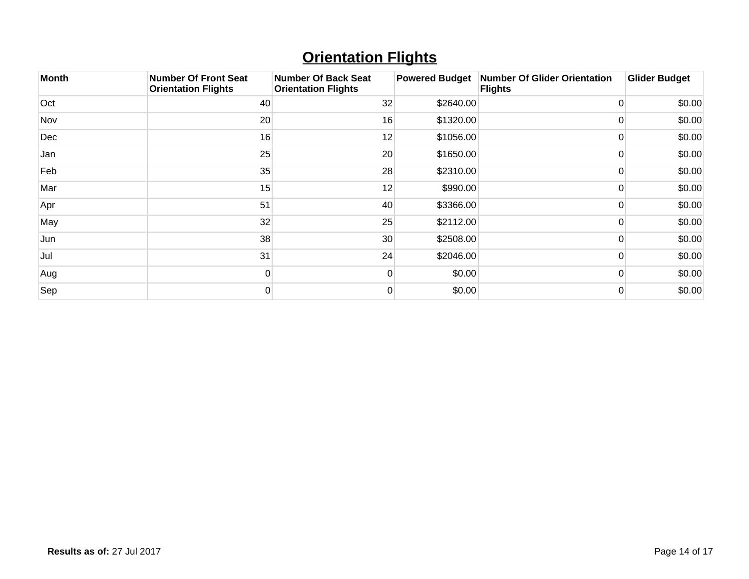## **Orientation Flights**

| <b>Month</b> | <b>Number Of Front Seat</b><br><b>Orientation Flights</b> | <b>Number Of Back Seat</b><br><b>Orientation Flights</b> | <b>Powered Budget</b> | <b>Number Of Glider Orientation</b><br><b>Flights</b> | <b>Glider Budget</b> |
|--------------|-----------------------------------------------------------|----------------------------------------------------------|-----------------------|-------------------------------------------------------|----------------------|
| Oct          | 40                                                        | 32                                                       | \$2640.00             | 0                                                     | \$0.00               |
| Nov          | 20                                                        | 16                                                       | \$1320.00             |                                                       | \$0.00               |
| Dec          | 16                                                        | 12                                                       | \$1056.00             |                                                       | \$0.00               |
| Jan          | 25                                                        | 20                                                       | \$1650.00             |                                                       | \$0.00               |
| Feb          | 35                                                        | 28                                                       | \$2310.00             | $\Omega$                                              | \$0.00               |
| Mar          | 15                                                        | 12                                                       | \$990.00              |                                                       | \$0.00               |
| Apr          | 51                                                        | 40                                                       | \$3366.00             | 0                                                     | \$0.00               |
| May          | 32                                                        | 25                                                       | \$2112.00             | 0                                                     | \$0.00               |
| Jun          | 38                                                        | 30                                                       | \$2508.00             | $\Omega$                                              | \$0.00               |
| Jul          | 31                                                        | 24                                                       | \$2046.00             | 0                                                     | \$0.00               |
| Aug          | $\Omega$                                                  | $\Omega$                                                 | \$0.00                | $\Omega$                                              | \$0.00               |
| Sep          | 0                                                         |                                                          | \$0.00                | 0                                                     | \$0.00               |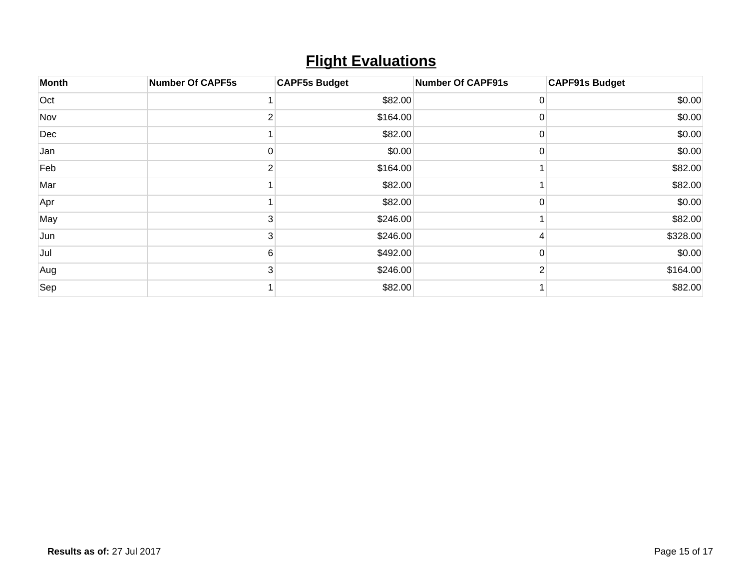## **Flight Evaluations**

| Month | <b>Number Of CAPF5s</b> | <b>CAPF5s Budget</b> | <b>Number Of CAPF91s</b> | <b>CAPF91s Budget</b> |
|-------|-------------------------|----------------------|--------------------------|-----------------------|
| Oct   |                         | \$82.00              | O                        | \$0.00                |
| Nov   |                         | \$164.00             | 0                        | \$0.00                |
| Dec   |                         | \$82.00              | 0                        | \$0.00                |
| Jan   | 0                       | \$0.00               | 0                        | \$0.00                |
| Feb   | 2                       | \$164.00             |                          | \$82.00               |
| Mar   |                         | \$82.00              |                          | \$82.00               |
| Apr   |                         | \$82.00              | 0                        | \$0.00                |
| May   | 3                       | \$246.00             |                          | \$82.00               |
| Jun   | 3                       | \$246.00             |                          | \$328.00              |
| Jul   | 6                       | \$492.00             | 0                        | \$0.00                |
| Aug   | 3                       | \$246.00             | 2                        | \$164.00              |
| Sep   |                         | \$82.00              |                          | \$82.00               |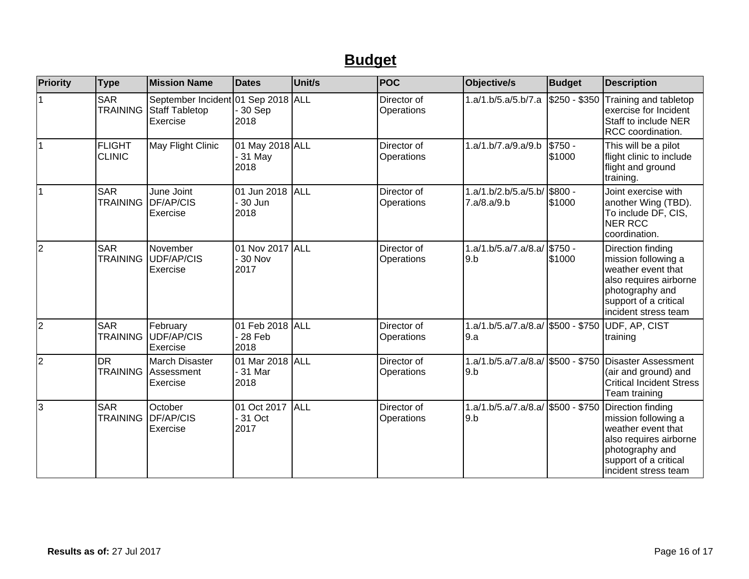## **Budget**

| Priority | <b>Type</b>                    | <b>Mission Name</b>                                              | <b>Dates</b>                        | Unit/s     | <b>POC</b>                | Objective/s                                                 | <b>Budget</b>     | <b>Description</b>                                                                                                                                           |
|----------|--------------------------------|------------------------------------------------------------------|-------------------------------------|------------|---------------------------|-------------------------------------------------------------|-------------------|--------------------------------------------------------------------------------------------------------------------------------------------------------------|
|          | <b>SAR</b><br><b>TRAINING</b>  | September Incident 01 Sep 2018 ALL<br>Staff Tabletop<br>Exercise | $30$ Sep<br>2018                    |            | Director of<br>Operations | 1.a/1.b/5.a/5.b/7.a                                         | \$250 - \$350     | Training and tabletop<br>exercise for Incident<br>Staff to include NER<br>RCC coordination.                                                                  |
| 1        | <b>FLIGHT</b><br><b>CLINIC</b> | May Flight Clinic                                                | 01 May 2018 ALL<br>$31$ May<br>2018 |            | Director of<br>Operations | 1.a/1.b/7.a/9.a/9.b                                         | \$750 -<br>\$1000 | This will be a pilot<br>flight clinic to include<br>flight and ground<br>training.                                                                           |
| 11       | <b>SAR</b><br><b>TRAINING</b>  | June Joint<br>DF/AP/CIS<br>Exercise                              | 01 Jun 2018<br>30 Jun<br>2018       | <b>ALL</b> | Director of<br>Operations | 1.a/1.b/2.b/5.a/5.b/<br>7.a/8.a/9.b                         | \$800 -<br>\$1000 | Joint exercise with<br>another Wing (TBD).<br>To include DF, CIS,<br><b>NER RCC</b><br>coordination.                                                         |
| 2        | <b>SAR</b><br><b>TRAINING</b>  | November<br><b>UDF/AP/CIS</b><br>Exercise                        | 01 Nov 2017 ALL<br>30 Nov<br>2017   |            | Director of<br>Operations | 1.a/1.b/5.a/7.a/8.a/<br>9.b                                 | \$750 -<br>\$1000 | Direction finding<br>mission following a<br>weather event that<br>also requires airborne<br>photography and<br>support of a critical<br>incident stress team |
| 2        | <b>SAR</b><br><b>TRAINING</b>  | February<br>UDF/AP/CIS<br>Exercise                               | 01 Feb 2018 ALL<br>28 Feb<br>2018   |            | Director of<br>Operations | 1.a/1.b/5.a/7.a/8.a/ \$500 - \$750 UDF, AP, CIST<br>9.a     |                   | training                                                                                                                                                     |
| 2        | <b>DR</b><br><b>TRAINING</b>   | March Disaster<br>Assessment<br>Exercise                         | 01 Mar 2018 ALL<br>31 Mar<br>2018   |            | Director of<br>Operations | $1.a/1.b/5.a/7.a/8.a/\sqrt{500 - $750}$<br>9.b              |                   | Disaster Assessment<br>(air and ground) and<br><b>Critical Incident Stress</b><br>Team training                                                              |
| 3        | <b>SAR</b><br><b>TRAINING</b>  | October<br>DF/AP/CIS<br>Exercise                                 | 01 Oct 2017<br>31 Oct<br>2017       | ALL        | Director of<br>Operations | 1.a/1.b/5.a/7.a/8.a/ \$500 - \$750 Direction finding<br>9.b |                   | mission following a<br>weather event that<br>also requires airborne<br>photography and<br>support of a critical<br>incident stress team                      |